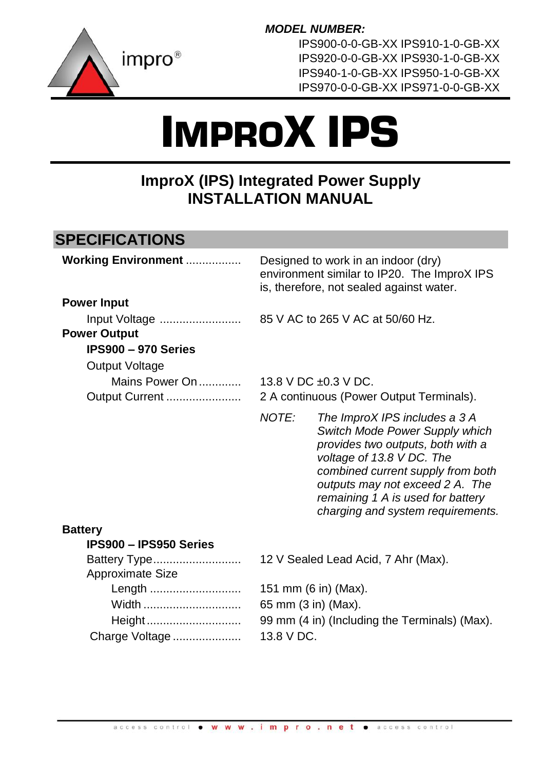

*MODEL NUMBER:* 

IPS900-0-0-GB-XX IPS910-1-0-GB-XX IPS920-0-0-GB-XX IPS930-1-0-GB-XX IPS940-1-0-GB-XX IPS950-1-0-GB-XX IPS970-0-0-GB-XX IPS971-0-0-GB-XX

# IMPROX IPS

# **ImproX (IPS) Integrated Power Supply INSTALLATION MANUAL**

# **SPECIFICATIONS**

| <b>Working Environment </b>          |       | Designed to work in an indoor (dry)<br>environment similar to IP20. The ImproX IPS<br>is, therefore, not sealed against water.                                                                                                                                                      |
|--------------------------------------|-------|-------------------------------------------------------------------------------------------------------------------------------------------------------------------------------------------------------------------------------------------------------------------------------------|
| <b>Power Input</b>                   |       |                                                                                                                                                                                                                                                                                     |
| Input Voltage<br><b>Power Output</b> |       | 85 V AC to 265 V AC at 50/60 Hz.                                                                                                                                                                                                                                                    |
| IPS900 - 970 Series                  |       |                                                                                                                                                                                                                                                                                     |
| Output Voltage                       |       |                                                                                                                                                                                                                                                                                     |
| Mains Power On<br>Output Current     |       | 13.8 V DC $\pm$ 0.3 V DC.<br>2 A continuous (Power Output Terminals).                                                                                                                                                                                                               |
|                                      | NOTE: | The ImproX IPS includes a 3 A<br>Switch Mode Power Supply which<br>provides two outputs, both with a<br>voltage of 13.8 V DC. The<br>combined current supply from both<br>outputs may not exceed 2 A. The<br>remaining 1 A is used for battery<br>charging and system requirements. |
| <b>Battery</b>                       |       |                                                                                                                                                                                                                                                                                     |
| <b>IPS900 - IPS950 Series</b>        |       |                                                                                                                                                                                                                                                                                     |
| Battery Type                         |       | 12 V Sealed Lead Acid, 7 Ahr (Max).                                                                                                                                                                                                                                                 |

| Approximate Size |                                               |
|------------------|-----------------------------------------------|
|                  | 151 mm (6 in) (Max).                          |
| Width            | 65 mm (3 in) (Max).                           |
| Height           | 99 mm (4 in) (Including the Terminals) (Max). |
| Charge Voltage   | 13.8 V DC.                                    |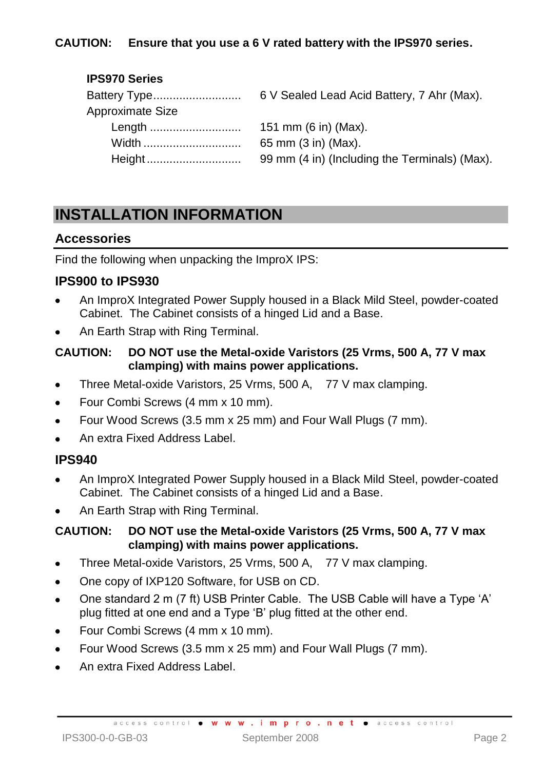#### **CAUTION: Ensure that you use a 6 V rated battery with the IPS970 series.**

#### **IPS970 Series**

| 6 V Sealed Lead Acid Battery, 7 Ahr (Max).    |
|-----------------------------------------------|
|                                               |
| 151 mm (6 in) (Max).                          |
| 65 mm (3 in) (Max).                           |
| 99 mm (4 in) (Including the Terminals) (Max). |
|                                               |

# **INSTALLATION INFORMATION**

#### **Accessories**

Find the following when unpacking the ImproX IPS:

#### **IPS900 to IPS930**

- An ImproX Integrated Power Supply housed in a Black Mild Steel, powder-coated Cabinet. The Cabinet consists of a hinged Lid and a Base.
- An Earth Strap with Ring Terminal.

#### **CAUTION: DO NOT use the Metal-oxide Varistors (25 Vrms, 500 A, 77 V max clamping) with mains power applications.**

- Three Metal-oxide Varistors, 25 Vrms, 500 A, 77 V max clamping.
- Four Combi Screws (4 mm x 10 mm).
- Four Wood Screws (3.5 mm x 25 mm) and Four Wall Plugs (7 mm).
- An extra Fixed Address Label.

## **IPS940**

- An ImproX Integrated Power Supply housed in a Black Mild Steel, powder-coated Cabinet. The Cabinet consists of a hinged Lid and a Base.
- An Earth Strap with Ring Terminal.

#### **CAUTION: DO NOT use the Metal-oxide Varistors (25 Vrms, 500 A, 77 V max clamping) with mains power applications.**

- $\bullet$ Three Metal-oxide Varistors, 25 Vrms, 500 A, 77 V max clamping.
- One copy of IXP120 Software, for USB on CD.  $\bullet$
- One standard 2 m (7 ft) USB Printer Cable. The USB Cable will have a Type 'A'  $\bullet$ plug fitted at one end and a Type 'B' plug fitted at the other end.
- Four Combi Screws (4 mm x 10 mm).
- Four Wood Screws (3.5 mm x 25 mm) and Four Wall Plugs (7 mm).
- An extra Fixed Address Label.

access control . www.impro.net . access control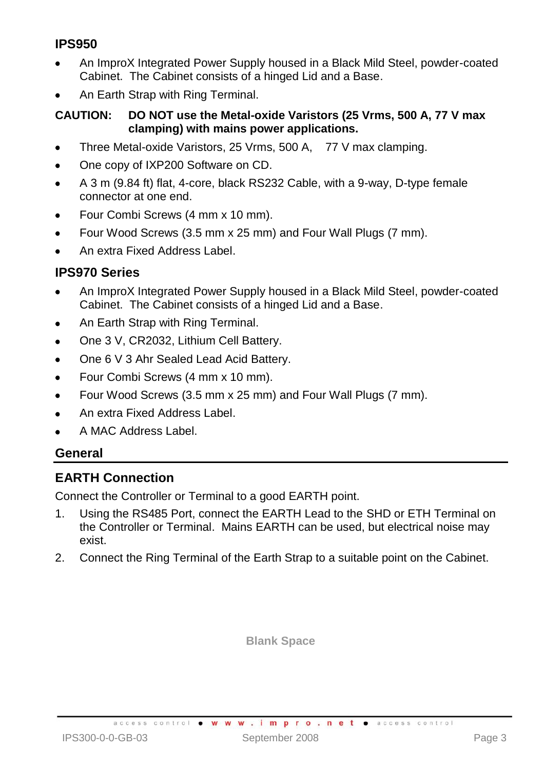# **IPS950**

- An ImproX Integrated Power Supply housed in a Black Mild Steel, powder-coated Cabinet. The Cabinet consists of a hinged Lid and a Base.
- An Earth Strap with Ring Terminal.

#### **CAUTION: DO NOT use the Metal-oxide Varistors (25 Vrms, 500 A, 77 V max clamping) with mains power applications.**

- Three Metal-oxide Varistors, 25 Vrms, 500 A, 77 V max clamping.  $\bullet$
- One copy of IXP200 Software on CD.  $\bullet$
- A 3 m (9.84 ft) flat, 4-core, black RS232 Cable, with a 9-way, D-type female  $\bullet$ connector at one end.
- Four Combi Screws (4 mm x 10 mm).
- Four Wood Screws (3.5 mm x 25 mm) and Four Wall Plugs (7 mm).
- An extra Fixed Address Label.

## **IPS970 Series**

- An ImproX Integrated Power Supply housed in a Black Mild Steel, powder-coated  $\bullet$ Cabinet. The Cabinet consists of a hinged Lid and a Base.
- An Earth Strap with Ring Terminal.  $\bullet$
- One 3 V, CR2032, Lithium Cell Battery.
- One 6 V 3 Ahr Sealed Lead Acid Battery.
- Four Combi Screws (4 mm x 10 mm).  $\bullet$
- Four Wood Screws (3.5 mm x 25 mm) and Four Wall Plugs (7 mm).  $\bullet$
- An extra Fixed Address Label.
- A MAC Address Label.

## **General**

# **EARTH Connection**

Connect the Controller or Terminal to a good EARTH point.

- 1. Using the RS485 Port, connect the EARTH Lead to the SHD or ETH Terminal on the Controller or Terminal. Mains EARTH can be used, but electrical noise may exist.
- 2. Connect the Ring Terminal of the Earth Strap to a suitable point on the Cabinet.

**Blank Space**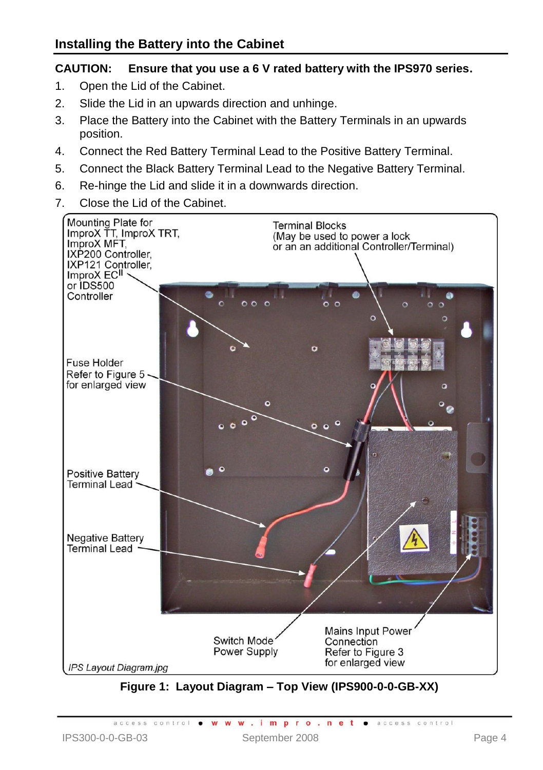#### **CAUTION: Ensure that you use a 6 V rated battery with the IPS970 series.**

- 1. Open the Lid of the Cabinet.
- 2. Slide the Lid in an upwards direction and unhinge.
- 3. Place the Battery into the Cabinet with the Battery Terminals in an upwards position.
- 4. Connect the Red Battery Terminal Lead to the Positive Battery Terminal.
- 5. Connect the Black Battery Terminal Lead to the Negative Battery Terminal.
- 6. Re-hinge the Lid and slide it in a downwards direction.
- 7. Close the Lid of the Cabinet.



<span id="page-3-0"></span>**Figure 1: Layout Diagram – Top View (IPS900-0-0-GB-XX)**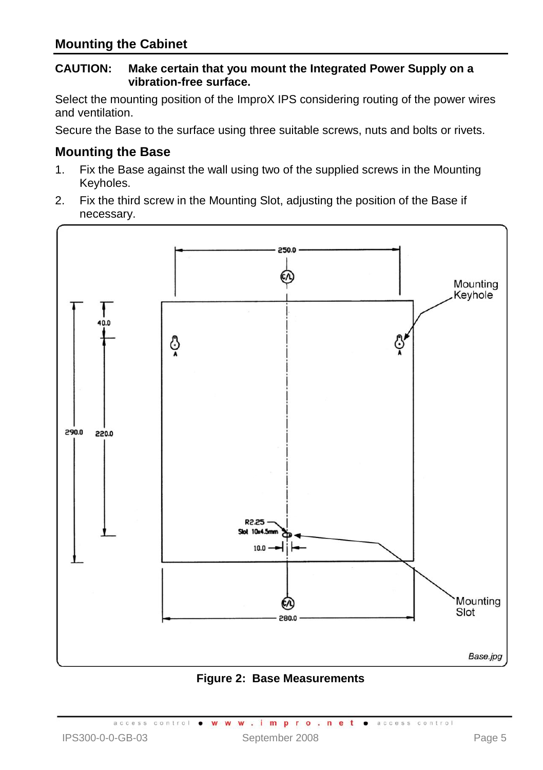#### **CAUTION: Make certain that you mount the Integrated Power Supply on a vibration-free surface.**

Select the mounting position of the ImproX IPS considering routing of the power wires and ventilation.

Secure the Base to the surface using three suitable screws, nuts and bolts or rivets.

### **Mounting the Base**

- 1. Fix the Base against the wall using two of the supplied screws in the Mounting Keyholes.
- 2. Fix the third screw in the Mounting Slot, adjusting the position of the Base if necessary.



**Figure 2: Base Measurements**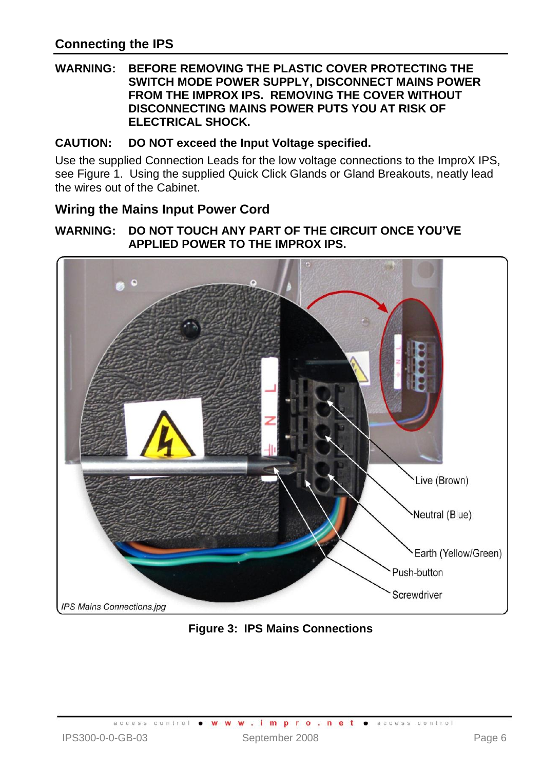#### **WARNING: BEFORE REMOVING THE PLASTIC COVER PROTECTING THE SWITCH MODE POWER SUPPLY, DISCONNECT MAINS POWER FROM THE IMPROX IPS. REMOVING THE COVER WITHOUT DISCONNECTING MAINS POWER PUTS YOU AT RISK OF ELECTRICAL SHOCK.**

## **CAUTION: DO NOT exceed the Input Voltage specified.**

Use the supplied Connection Leads for the low voltage connections to the ImproX IPS, se[e Figure 1.](#page-3-0) Using the supplied Quick Click Glands or Gland Breakouts, neatly lead the wires out of the Cabinet.

#### **Wiring the Mains Input Power Cord**

#### **WARNING: DO NOT TOUCH ANY PART OF THE CIRCUIT ONCE YOU'VE APPLIED POWER TO THE IMPROX IPS.**



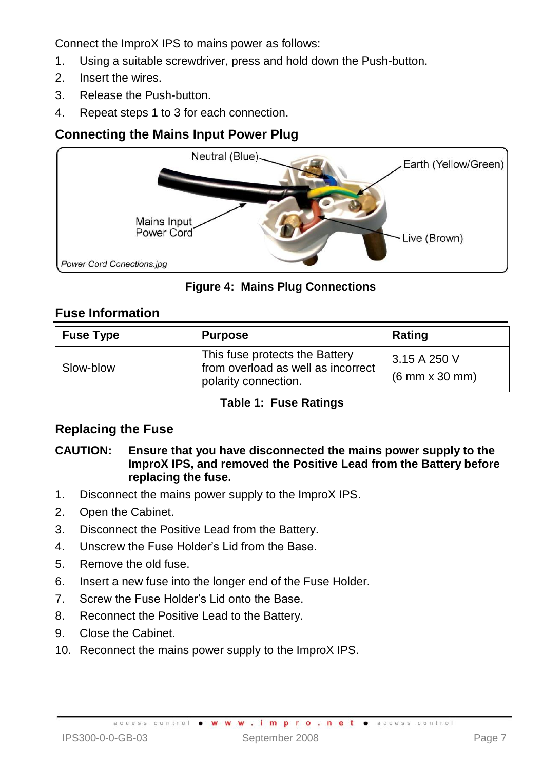Connect the ImproX IPS to mains power as follows:

- 1. Using a suitable screwdriver, press and hold down the Push-button.
- 2. Insert the wires.
- 3. Release the Push-button.
- 4. Repeat steps 1 to 3 for each connection.

# **Connecting the Mains Input Power Plug**



**Figure 4: Mains Plug Connections**

## **Fuse Information**

| <b>Fuse Type</b> | <b>Purpose</b>                                                                               | Rating                                                |
|------------------|----------------------------------------------------------------------------------------------|-------------------------------------------------------|
| Slow-blow        | This fuse protects the Battery<br>from overload as well as incorrect<br>polarity connection. | 3.15 A 250 V<br>$(6 \text{ mm} \times 30 \text{ mm})$ |

#### **Table 1: Fuse Ratings**

# **Replacing the Fuse**

#### **CAUTION: Ensure that you have disconnected the mains power supply to the ImproX IPS, and removed the Positive Lead from the Battery before replacing the fuse.**

- 1. Disconnect the mains power supply to the ImproX IPS.
- 2. Open the Cabinet.
- 3. Disconnect the Positive Lead from the Battery.
- 4. Unscrew the Fuse Holder's Lid from the Base.
- 5. Remove the old fuse.
- 6. Insert a new fuse into the longer end of the Fuse Holder.
- 7. Screw the Fuse Holder's Lid onto the Base.
- 8. Reconnect the Positive Lead to the Battery.
- 9. Close the Cabinet.
- 10. Reconnect the mains power supply to the ImproX IPS.